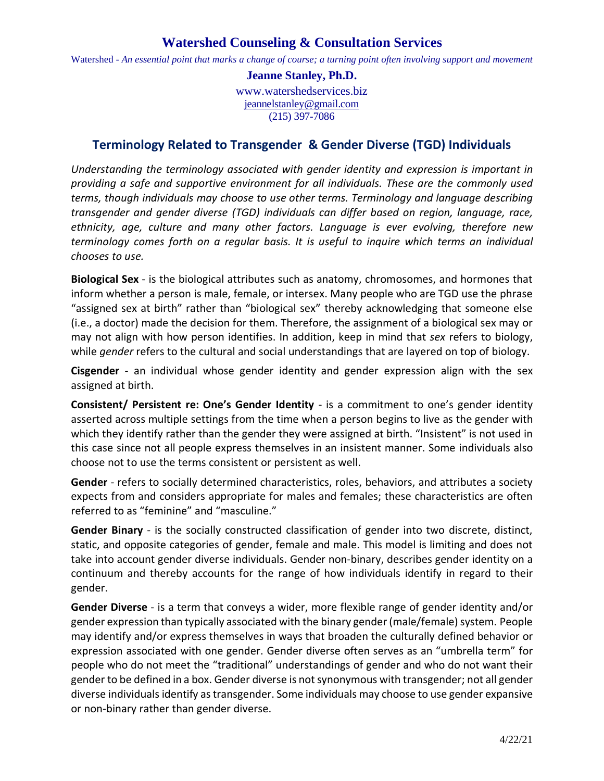## **Watershed Counseling & Consultation Services**

Watershed - An essential point that marks a change of course; a turning point often involving support and movement

**Jeanne Stanley, Ph.D.** www.watershedservices.biz jeannelstanley@gmail.com

(215) 397-7086

## **Terminology Related to Transgender & Gender Diverse (TGD) Individuals**

*Understanding the terminology associated with gender identity and expression is important in providing a safe and supportive environment for all individuals. These are the commonly used terms, though individuals may choose to use other terms. Terminology and language describing transgender and gender diverse (TGD) individuals can differ based on region, language, race, ethnicity, age, culture and many other factors. Language is ever evolving, therefore new terminology comes forth on a regular basis. It is useful to inquire which terms an individual chooses to use.*

**Biological Sex** - is the biological attributes such as anatomy, chromosomes, and hormones that inform whether a person is male, female, or intersex. Many people who are TGD use the phrase "assigned sex at birth" rather than "biological sex" thereby acknowledging that someone else (i.e., a doctor) made the decision for them. Therefore, the assignment of a biological sex may or may not align with how person identifies. In addition, keep in mind that *sex* refers to biology, while *gender* refers to the cultural and social understandings that are layered on top of biology.

**Cisgender** - an individual whose gender identity and gender expression align with the sex assigned at birth.

**Consistent/ Persistent re: One's Gender Identity** - is a commitment to one's gender identity asserted across multiple settings from the time when a person begins to live as the gender with which they identify rather than the gender they were assigned at birth. "Insistent" is not used in this case since not all people express themselves in an insistent manner. Some individuals also choose not to use the terms consistent or persistent as well.

**Gender** - refers to socially determined characteristics, roles, behaviors, and attributes a society expects from and considers appropriate for males and females; these characteristics are often referred to as "feminine" and "masculine."

**Gender Binary** - is the socially constructed classification of gender into two discrete, distinct, static, and opposite categories of gender, female and male. This model is limiting and does not take into account gender diverse individuals. Gender non-binary, describes gender identity on a continuum and thereby accounts for the range of how individuals identify in regard to their gender.

**Gender Diverse** - is a term that conveys a wider, more flexible range of gender identity and/or gender expression than typically associated with the binary gender (male/female) system. People may identify and/or express themselves in ways that broaden the culturally defined behavior or expression associated with one gender. Gender diverse often serves as an "umbrella term" for people who do not meet the "traditional" understandings of gender and who do not want their gender to be defined in a box. Gender diverse is not synonymous with transgender; not all gender diverse individualsidentify astransgender. Some individuals may choose to use gender expansive or non-binary rather than gender diverse.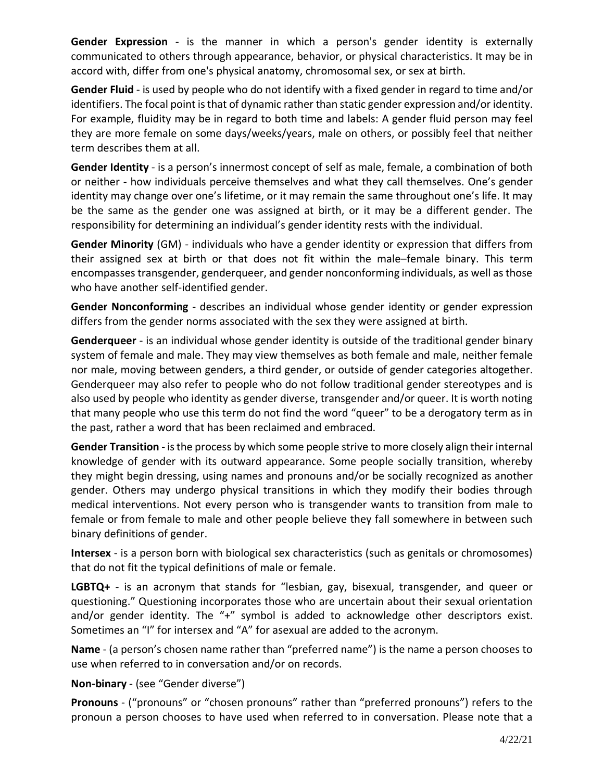**Gender Expression** - is the manner in which a person's gender identity is externally communicated to others through appearance, behavior, or physical characteristics. It may be in accord with, differ from one's physical anatomy, chromosomal sex, or sex at birth.

**Gender Fluid** - is used by people who do not identify with a fixed gender in regard to time and/or identifiers. The focal point is that of dynamic rather than static gender expression and/or identity. For example, fluidity may be in regard to both time and labels: A gender fluid person may feel they are more female on some days/weeks/years, male on others, or possibly feel that neither term describes them at all.

**Gender Identity** - is a person's innermost concept of self as male, female, a combination of both or neither - how individuals perceive themselves and what they call themselves. One's gender identity may change over one's lifetime, or it may remain the same throughout one's life. It may be the same as the gender one was assigned at birth, or it may be a different gender. The responsibility for determining an individual's gender identity rests with the individual.

**Gender Minority** (GM) - individuals who have a gender identity or expression that differs from their assigned sex at birth or that does not fit within the male–female binary. This term encompasses transgender, genderqueer, and gender nonconforming individuals, as well asthose who have another self-identified gender.

**Gender Nonconforming** - describes an individual whose gender identity or gender expression differs from the gender norms associated with the sex they were assigned at birth.

**Genderqueer** - is an individual whose gender identity is outside of the traditional gender binary system of female and male. They may view themselves as both female and male, neither female nor male, moving between genders, a third gender, or outside of gender categories altogether. Genderqueer may also refer to people who do not follow traditional gender stereotypes and is also used by people who identity as gender diverse, transgender and/or queer. It is worth noting that many people who use this term do not find the word "queer" to be a derogatory term as in the past, rather a word that has been reclaimed and embraced.

**Gender Transition** - isthe process by which some people strive to more closely align their internal knowledge of gender with its outward appearance. Some people socially transition, whereby they might begin dressing, using names and pronouns and/or be socially recognized as another gender. Others may undergo physical transitions in which they modify their bodies through medical interventions. Not every person who is transgender wants to transition from male to female or from female to male and other people believe they fall somewhere in between such binary definitions of gender.

**Intersex** - is a person born with biological sex characteristics (such as genitals or chromosomes) that do not fit the typical definitions of male or female.

**LGBTQ+** - is an acronym that stands for "lesbian, gay, bisexual, transgender, and queer or questioning." Questioning incorporates those who are uncertain about their sexual orientation and/or gender identity. The "+" symbol is added to acknowledge other descriptors exist. Sometimes an "I" for intersex and "A" for asexual are added to the acronym.

**Name** - (a person's chosen name rather than "preferred name") is the name a person chooses to use when referred to in conversation and/or on records.

**Non-binary** - (see "Gender diverse")

**Pronouns** - ("pronouns" or "chosen pronouns" rather than "preferred pronouns") refers to the pronoun a person chooses to have used when referred to in conversation. Please note that a